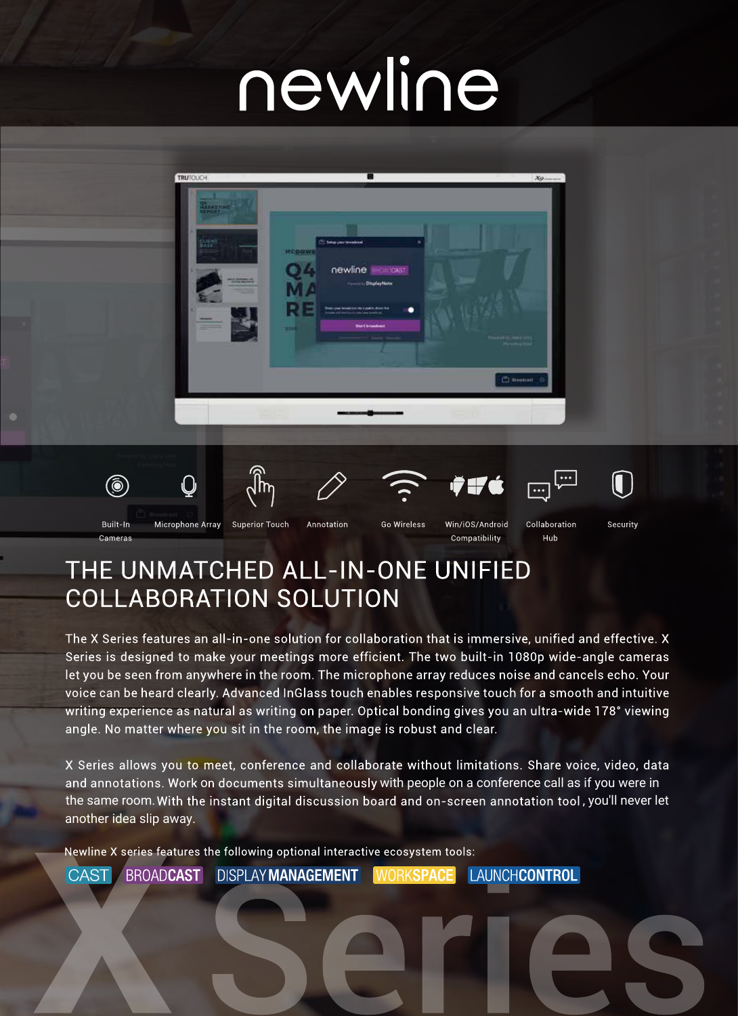# newline



### THE UNMATCHED ALL-IN-ONE UNIFIED **COLLABORATION SOLUTION**

The X Series features an all-in-one solution for collaboration that is immersive, unified and effective. X Series is designed to make your meetings more efficient. The two built-in 1080p wide-angle cameras let you be seen from anywhere in the room. The microphone array reduces noise and cancels echo. Your voice can be heard clearly. Advanced InGlass touch enables responsive touch for a smooth and intuitive writing experience as natural as writing on paper. Optical bonding gives you an ultra-wide 178° viewing angle. No matter where you sit in the room, the image is robust and clear.

X Series allows you to meet, conference and collaborate without limitations. Share voice, video, data and annotations. Work on documents simultaneously with people on a conference call as if you were in the same room. With the instant digital discussion board and on-screen annotation tool, you'll never let another idea slip away.

Newline X series features the following optional interactive ecosystem tools:

**BROADCAST DISPLAY MANAGEMENT LAUNCHCONTROL CAST WORKSPACE**